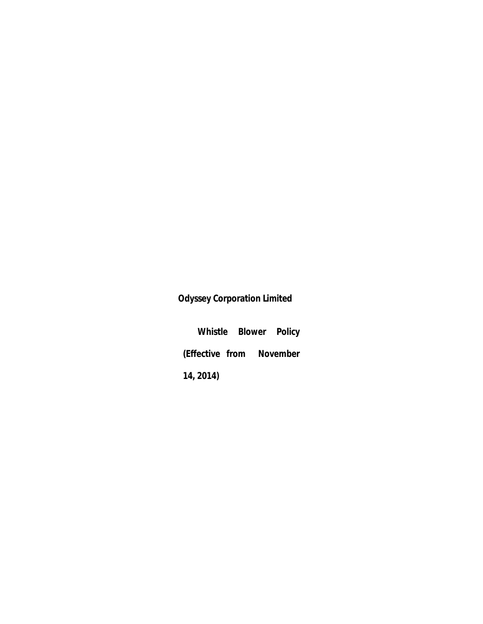# **Odyssey Corporation Limited**

**Whistle Blower Policy (Effective from November 14, 2014)**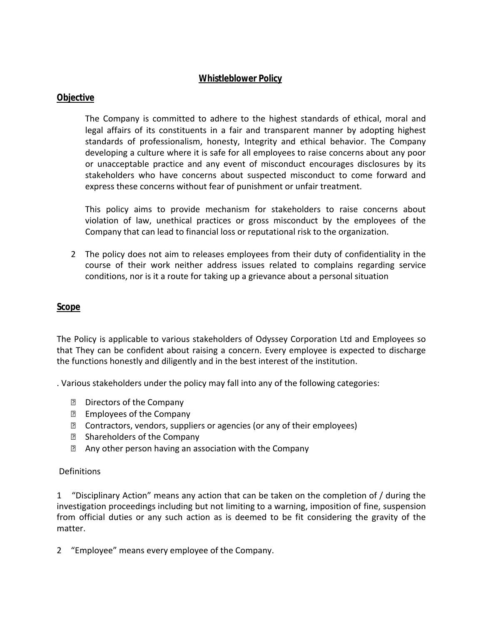## **Whistleblower Policy**

#### **Objective**

The Company is committed to adhere to the highest standards of ethical, moral and legal affairs of its constituents in a fair and transparent manner by adopting highest standards of professionalism, honesty, Integrity and ethical behavior. The Company developing a culture where it is safe for all employees to raise concerns about any poor or unacceptable practice and any event of misconduct encourages disclosures by its stakeholders who have concerns about suspected misconduct to come forward and express these concerns without fear of punishment or unfair treatment.

This policy aims to provide mechanism for stakeholders to raise concerns about violation of law, unethical practices or gross misconduct by the employees of the Company that can lead to financial loss or reputational risk to the organization.

2 The policy does not aim to releases employees from their duty of confidentiality in the course of their work neither address issues related to complains regarding service conditions, nor is it a route for taking up a grievance about a personal situation

#### **Scope**

The Policy is applicable to various stakeholders of Odyssey Corporation Ltd and Employees so that They can be confident about raising a concern. Every employee is expected to discharge the functions honestly and diligently and in the best interest of the institution.

. Various stakeholders under the policy may fall into any of the following categories:

- **Directors of the Company**
- **Employees of the Company**
- **sqrt825 Contractors, vendors, suppliers or agencies (or any of their employees)**
- **E** Shareholders of the Company
- **E** Any other person having an association with the Company

#### **Definitions**

1 "Disciplinary Action" means any action that can be taken on the completion of / during the investigation proceedings including but not limiting to a warning, imposition of fine, suspension from official duties or any such action as is deemed to be fit considering the gravity of the matter.

2 "Employee" means every employee of the Company.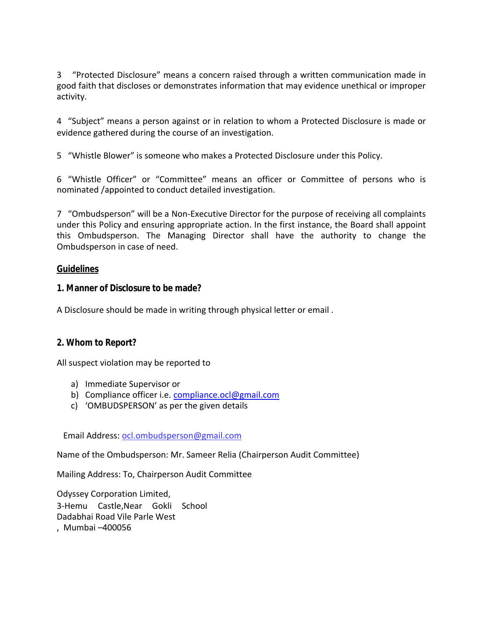3 "Protected Disclosure" means a concern raised through a written communication made in good faith that discloses or demonstrates information that may evidence unethical or improper activity.

4 "Subject" means a person against or in relation to whom a Protected Disclosure is made or evidence gathered during the course of an investigation.

5 "Whistle Blower" is someone who makes a Protected Disclosure under this Policy.

6 "Whistle Officer" or "Committee" means an officer or Committee of persons who is nominated /appointed to conduct detailed investigation.

7 "Ombudsperson" will be a Non-Executive Director for the purpose of receiving all complaints under this Policy and ensuring appropriate action. In the first instance, the Board shall appoint this Ombudsperson. The Managing Director shall have the authority to change the Ombudsperson in case of need.

#### **Guidelines**

**1. Manner of Disclosure to be made?**

A Disclosure should be made in writing through physical letter or email .

#### **2. Whom to Report?**

All suspect violation may be reported to

- a) Immediate Supervisor or
- b) Compliance officer i.e. compliance.ocl@gmail.com
- c) 'OMBUDSPERSON' as per the given details

Email Address: ocl.ombudsperson@gmail.com

Name of the Ombudsperson: Mr. Sameer Relia (Chairperson Audit Committee)

Mailing Address: To, Chairperson Audit Committee

Odyssey Corporation Limited, 3-Hemu Castle,Near Gokli School Dadabhai Road Vile Parle West , Mumbai –400056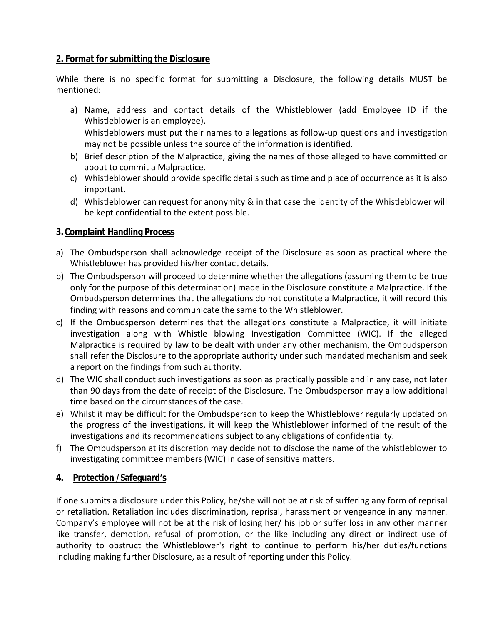# **2. Format for submitting the Disclosure**

While there is no specific format for submitting a Disclosure, the following details MUST be mentioned:

- a) Name, address and contact details of the Whistleblower (add Employee ID if the Whistleblower is an employee). Whistleblowers must put their names to allegations as follow-up questions and investigation may not be possible unless the source of the information is identified.
- b) Brief description of the Malpractice, giving the names of those alleged to have committed or about to commit a Malpractice.
- c) Whistleblower should provide specific details such as time and place of occurrence as it is also important.
- d) Whistleblower can request for anonymity & in that case the identity of the Whistleblower will be kept confidential to the extent possible.

## **3. Complaint Handling Process**

- a) The Ombudsperson shall acknowledge receipt of the Disclosure as soon as practical where the Whistleblower has provided his/her contact details.
- b) The Ombudsperson will proceed to determine whether the allegations (assuming them to be true only for the purpose of this determination) made in the Disclosure constitute a Malpractice. If the Ombudsperson determines that the allegations do not constitute a Malpractice, it will record this finding with reasons and communicate the same to the Whistleblower.
- c) If the Ombudsperson determines that the allegations constitute a Malpractice, it will initiate investigation along with Whistle blowing Investigation Committee (WIC). If the alleged Malpractice is required by law to be dealt with under any other mechanism, the Ombudsperson shall refer the Disclosure to the appropriate authority under such mandated mechanism and seek a report on the findings from such authority.
- d) The WIC shall conduct such investigations as soon as practically possible and in any case, not later than 90 days from the date of receipt of the Disclosure. The Ombudsperson may allow additional time based on the circumstances of the case.
- e) Whilst it may be difficult for the Ombudsperson to keep the Whistleblower regularly updated on the progress of the investigations, it will keep the Whistleblower informed of the result of the investigations and its recommendations subject to any obligations of confidentiality.
- f) The Ombudsperson at its discretion may decide not to disclose the name of the whistleblower to investigating committee members (WIC) in case of sensitive matters.
- **4. Protection /Safeguard's**

If one submits a disclosure under this Policy, he/she will not be at risk of suffering any form of reprisal or retaliation. Retaliation includes discrimination, reprisal, harassment or vengeance in any manner. Company's employee will not be at the risk of losing her/ his job or suffer loss in any other manner like transfer, demotion, refusal of promotion, or the like including any direct or indirect use of authority to obstruct the Whistleblower's right to continue to perform his/her duties/functions including making further Disclosure, as a result of reporting under this Policy.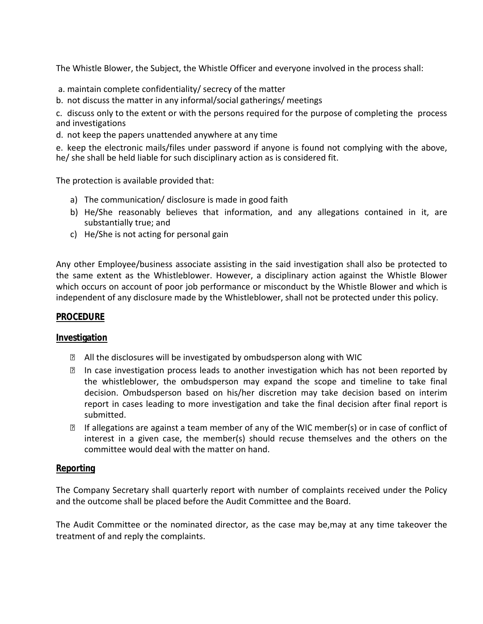The Whistle Blower, the Subject, the Whistle Officer and everyone involved in the process shall:

- a. maintain complete confidentiality/ secrecy of the matter
- b. not discuss the matter in any informal/social gatherings/ meetings

c. discuss only to the extent or with the persons required for the purpose of completing the process and investigations

d. not keep the papers unattended anywhere at any time

e. keep the electronic mails/files under password if anyone is found not complying with the above, he/ she shall be held liable for such disciplinary action as is considered fit.

The protection is available provided that:

- a) The communication/ disclosure is made in good faith
- b) He/She reasonably believes that information, and any allegations contained in it, are substantially true; and
- c) He/She is not acting for personal gain

Any other Employee/business associate assisting in the said investigation shall also be protected to the same extent as the Whistleblower. However, a disciplinary action against the Whistle Blower which occurs on account of poor job performance or misconduct by the Whistle Blower and which is independent of any disclosure made by the Whistleblower, shall not be protected under this policy.

#### **PROCEDURE**

#### **Investigation**

- **E** All the disclosures will be investigated by ombudsperson along with WIC
- In case investigation process leads to another investigation which has not been reported by the whistleblower, the ombudsperson may expand the scope and timeline to take final decision. Ombudsperson based on his/her discretion may take decision based on interim report in cases leading to more investigation and take the final decision after final report is submitted.
- **If allegations are against a team member of any of the WIC member(s) or in case of conflict of** interest in a given case, the member(s) should recuse themselves and the others on the committee would deal with the matter on hand.

#### **Reporting**

The Company Secretary shall quarterly report with number of complaints received under the Policy and the outcome shall be placed before the Audit Committee and the Board.

The Audit Committee or the nominated director, as the case may be,may at any time takeover the treatment of and reply the complaints.